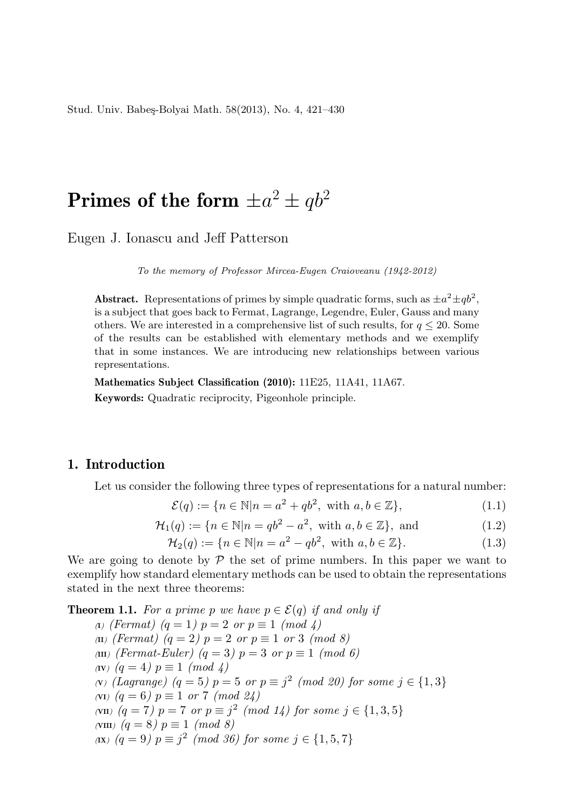Stud. Univ. Babes-Bolyai Math. 58(2013), No. 4, 421-430

# Primes of the form  $\pm a^2 \pm q b^2$

Eugen J. Ionascu and Jeff Patterson

To the memory of Professor Mircea-Eugen Craioveanu (1942-2012)

Abstract. Representations of primes by simple quadratic forms, such as  $\pm a^2 \pm qb^2$ , is a subject that goes back to Fermat, Lagrange, Legendre, Euler, Gauss and many others. We are interested in a comprehensive list of such results, for  $q \leq 20$ . Some of the results can be established with elementary methods and we exemplify that in some instances. We are introducing new relationships between various representations.

Mathematics Subject Classification (2010): 11E25, 11A41, 11A67.

Keywords: Quadratic reciprocity, Pigeonhole principle.

### 1. Introduction

Let us consider the following three types of representations for a natural number:

$$
\mathcal{E}(q) := \{ n \in \mathbb{N} | n = a^2 + qb^2, \text{ with } a, b \in \mathbb{Z} \},\tag{1.1}
$$

$$
\mathcal{H}_1(q) := \{ n \in \mathbb{N} | n = qb^2 - a^2, \text{ with } a, b \in \mathbb{Z} \}, \text{ and } (1.2)
$$

$$
\mathcal{H}_2(q) := \{ n \in \mathbb{N} | n = a^2 - qb^2, \text{ with } a, b \in \mathbb{Z} \}. \tag{1.3}
$$

We are going to denote by  $P$  the set of prime numbers. In this paper we want to exemplify how standard elementary methods can be used to obtain the representations stated in the next three theorems:

**Theorem 1.1.** For a prime p we have  $p \in \mathcal{E}(q)$  if and only if (I) (Fermat)  $(q = 1)$   $p = 2$  or  $p \equiv 1 \pmod{4}$ (II) (Fermat)  $(q = 2)$   $p = 2$  or  $p \equiv 1$  or 3 (mod 8) (III) (Fermat-Euler) (q = 3)  $p = 3$  or  $p \equiv 1 \pmod{6}$ (IV)  $(q = 4)$   $p \equiv 1 \pmod{4}$ (V) (Lagrange)  $(q = 5)$   $p = 5$  or  $p \equiv j^2 \pmod{20}$  for some  $j \in \{1, 3\}$ (VI)  $(q = 6)$   $p \equiv 1$  or 7 (mod 24) (VII)  $(q = 7)$   $p = 7$  or  $p \equiv j^2 \pmod{14}$  for some  $j \in \{1, 3, 5\}$ (VIII)  $(q = 8)$   $p \equiv 1 \pmod{8}$ (IX)  $(q = 9)$   $p \equiv j^2 \pmod{36}$  for some  $j \in \{1, 5, 7\}$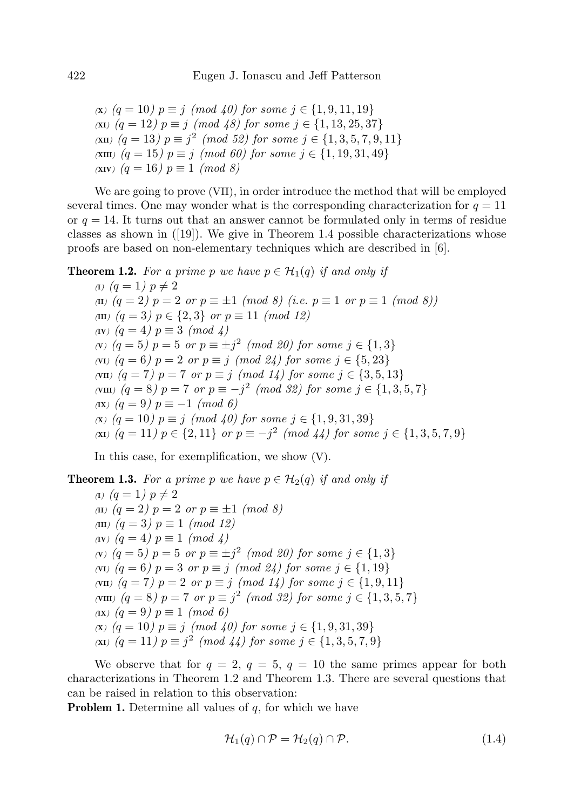(x)  $(q = 10)$   $p \equiv j \pmod{40}$  for some  $j \in \{1, 9, 11, 19\}$ (XI)  $(q = 12)$   $p \equiv j \pmod{48}$  for some  $j \in \{1, 13, 25, 37\}$ (XII)  $(q = 13)$   $p \equiv j^2 \pmod{52}$  for some  $j \in \{1, 3, 5, 7, 9, 11\}$ (XIII)  $(q = 15)$   $p \equiv j \pmod{60}$  for some  $j \in \{1, 19, 31, 49\}$  $(XIV)$   $(q = 16)$   $p \equiv 1 \pmod{8}$ 

We are going to prove (VII), in order introduce the method that will be employed several times. One may wonder what is the corresponding characterization for  $q = 11$ or  $q = 14$ . It turns out that an answer cannot be formulated only in terms of residue classes as shown in  $([19])$ . We give in Theorem 1.4 possible characterizations whose proofs are based on non-elementary techniques which are described in [6].

**Theorem 1.2.** For a prime p we have  $p \in H_1(q)$  if and only if

(I)  $(q = 1)$   $p \neq 2$ (II)  $(q = 2)$   $p = 2$  or  $p \equiv \pm 1 \pmod{8}$  (i.e.  $p \equiv 1$  or  $p \equiv 1 \pmod{8}$ ) (III)  $(q = 3)$   $p \in \{2, 3\}$  or  $p \equiv 11 \pmod{12}$ (IV)  $(q = 4)$   $p \equiv 3 \pmod{4}$ (v)  $(q = 5)$   $p = 5$  or  $p \equiv \pm j^2 \pmod{20}$  for some  $j \in \{1,3\}$ (VI)  $(q = 6)$   $p = 2$  or  $p \equiv j \pmod{24}$  for some  $j \in \{5, 23\}$ (VII)  $(q = 7)$   $p = 7$  or  $p \equiv j \pmod{14}$  for some  $j \in \{3, 5, 13\}$ (VIII)  $(q = 8)$   $p = 7$  or  $p \equiv -j^2 \pmod{32}$  for some  $j \in \{1, 3, 5, 7\}$ (IX)  $(q = 9)$   $p \equiv -1 \pmod{6}$ (x)  $(q = 10)$   $p \equiv j \pmod{40}$  for some  $j \in \{1, 9, 31, 39\}$ (XI)  $(q = 11)$   $p \in \{2, 11\}$  or  $p \equiv -j^2 \pmod{44}$  for some  $j \in \{1, 3, 5, 7, 9\}$ 

In this case, for exemplification, we show (V).

**Theorem 1.3.** For a prime p we have  $p \in H_2(q)$  if and only if (I)  $(q = 1) p \neq 2$ (II)  $(q = 2)$   $p = 2$  or  $p \equiv \pm 1 \pmod{8}$ (III)  $(q = 3)$   $p \equiv 1 \pmod{12}$ (IV)  $(q = 4)$   $p \equiv 1 \pmod{4}$ (v)  $(q = 5)$   $p = 5$  or  $p \equiv \pm j^2 \pmod{20}$  for some  $j \in \{1, 3\}$ (VI)  $(q = 6)$   $p = 3$  or  $p \equiv j \pmod{24}$  for some  $j \in \{1, 19\}$ (VII)  $(q = 7)$   $p = 2$  or  $p \equiv j \pmod{14}$  for some  $j \in \{1, 9, 11\}$ (VIII)  $(q = 8) p = 7 \text{ or } p \equiv j^2 \pmod{32}$  for some  $j \in \{1, 3, 5, 7\}$ (IX)  $(q = 9)$   $p \equiv 1 \pmod{6}$ (x)  $(q = 10)$   $p \equiv j \pmod{40}$  for some  $j \in \{1, 9, 31, 39\}$ (XI)  $(q = 11)$   $p \equiv j^2 \pmod{44}$  for some  $j \in \{1, 3, 5, 7, 9\}$ 

We observe that for  $q = 2$ ,  $q = 5$ ,  $q = 10$  the same primes appear for both characterizations in Theorem 1.2 and Theorem 1.3. There are several questions that can be raised in relation to this observation:

**Problem 1.** Determine all values of  $q$ , for which we have

$$
\mathcal{H}_1(q) \cap \mathcal{P} = \mathcal{H}_2(q) \cap \mathcal{P}.\tag{1.4}
$$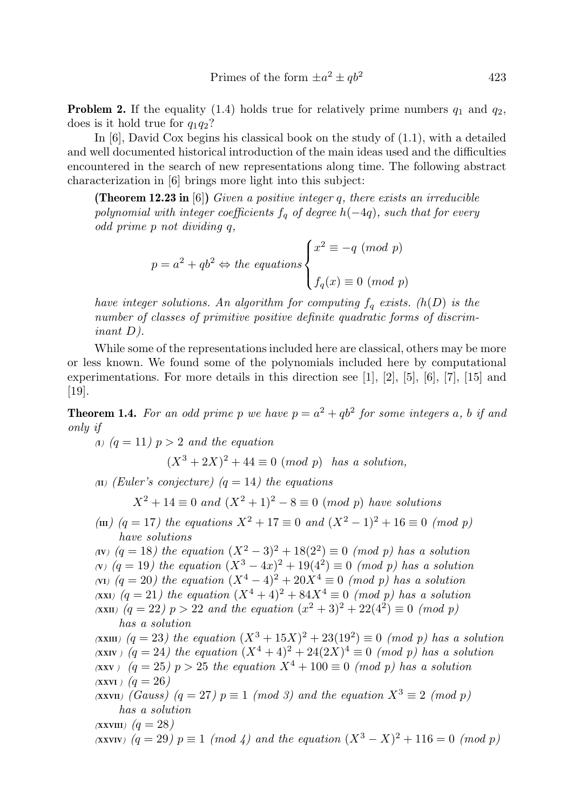$$
Primes of the form \pm a^2 \pm qb^2 \qquad \qquad 423
$$

**Problem 2.** If the equality (1.4) holds true for relatively prime numbers  $q_1$  and  $q_2$ , does is it hold true for  $q_1q_2$ ?

In [6], David Cox begins his classical book on the study of (1.1), with a detailed and well documented historical introduction of the main ideas used and the difficulties encountered in the search of new representations along time. The following abstract characterization in [6] brings more light into this subject:

**(Theorem 12.23 in** [6]) Given a positive integer q, there exists an irreducible polynomial with integer coefficients  $f_q$  of degree  $h(-4q)$ , such that for every odd prime p not dividing q,

$$
p = a2 + qb2 \Leftrightarrow the equations \begin{cases} x2 \equiv -q \pmod{p} \\ fq(x) \equiv 0 \pmod{p} \end{cases}
$$

have integer solutions. An algorithm for computing  $f_q$  exists. (h(D) is the number of classes of primitive positive definite quadratic forms of discriminant D).

While some of the representations included here are classical, others may be more or less known. We found some of the polynomials included here by computational experimentations. For more details in this direction see  $[1]$ ,  $[2]$ ,  $[5]$ ,  $[6]$ ,  $[7]$ ,  $[15]$  and [19].

**Theorem 1.4.** For an odd prime p we have  $p = a^2 + qb^2$  for some integers a, b if and only if

(1)  $(q = 11)$   $p > 2$  and the equation

 $(X^3 + 2X)^2 + 44 \equiv 0 \pmod{p}$  has a solution,

(II) (Euler's conjecture)  $(q = 14)$  the equations

 $X^2 + 14 \equiv 0$  and  $(X^2 + 1)^2 - 8 \equiv 0 \pmod{p}$  have solutions

(III) (q = 17) the equations  $X^2 + 17 \equiv 0$  and  $(X^2 - 1)^2 + 16 \equiv 0 \pmod{p}$ have solutions

(IV)  $(q = 18)$  the equation  $(X^2 - 3)^2 + 18(2^2) \equiv 0 \pmod{p}$  has a solution (v)  $(q = 19)$  the equation  $(X^3 - 4x)^2 + 19(4^2) \equiv 0 \pmod{p}$  has a solution (VI)  $(q = 20)$  the equation  $(X^4 - 4)^2 + 20X^4 \equiv 0 \pmod{p}$  has a solution (XXI)  $(q = 21)$  the equation  $(X^4 + 4)^2 + 84X^4 \equiv 0 \pmod{p}$  has a solution (XXII)  $(q = 22)$  p > 22 and the equation  $(x^2 + 3)^2 + 22(4^2) \equiv 0 \pmod{p}$ has a solution

(XXIII)  $(q = 23)$  the equation  $(X^3 + 15X)^2 + 23(19^2) \equiv 0 \pmod{p}$  has a solution (XXIV)  $(q = 24)$  the equation  $(X^4 + 4)^2 + 24(2X)^4 \equiv 0 \pmod{p}$  has a solution (XXV)  $(q = 25)$  p > 25 the equation  $X^4 + 100 \equiv 0 \pmod{p}$  has a solution  $(XXVI)$   $(q = 26)$ 

(XXVII) (Gauss)  $(q = 27)$   $p \equiv 1 \pmod{3}$  and the equation  $X^3 \equiv 2 \pmod{p}$ has a solution

 $(XXVIII)$   $(q = 28)$ 

(XXVIV)  $(q = 29)$   $p \equiv 1 \pmod{4}$  and the equation  $(X^3 - X)^2 + 116 = 0 \pmod{p}$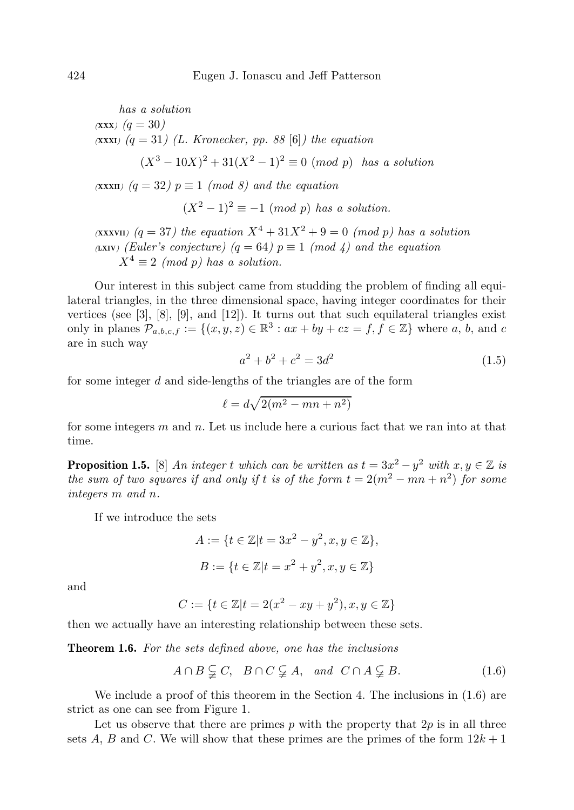has a solution  $(XXX)$   $(q = 30)$  $(XXX)$   $(q = 31)$   $(L.$  Kronecker, pp. 88 [6]) the equation  $(X^3 - 10X)^2 + 31(X^2 - 1)^2 \equiv 0 \pmod{p}$  has a solution  $(XXXII)$   $(q = 32)$   $p \equiv 1 \pmod{8}$  and the equation  $(X^2 - 1)^2 \equiv -1 \pmod{p}$  has a solution. (XXXVII)  $(q = 37)$  the equation  $X^4 + 31X^2 + 9 = 0$  (mod p) has a solution

(LXIV) (Euler's conjecture) (q = 64)  $p \equiv 1 \pmod{4}$  and the equation  $X^4 \equiv 2 \pmod{p}$  has a solution.

Our interest in this subject came from studding the problem of finding all equilateral triangles, in the three dimensional space, having integer coordinates for their vertices (see  $[3]$ ,  $[8]$ ,  $[9]$ , and  $[12]$ ). It turns out that such equilateral triangles exist only in planes  $\mathcal{P}_{a,b,c,f} := \{(x,y,z) \in \mathbb{R}^3 : ax + by + cz = f, f \in \mathbb{Z}\}\$  where a, b, and c are in such way

$$
a^2 + b^2 + c^2 = 3d^2 \tag{1.5}
$$

for some integer d and side-lengths of the triangles are of the form

$$
\ell = d\sqrt{2(m^2 - mn + n^2)}
$$

for some integers  $m$  and  $n$ . Let us include here a curious fact that we ran into at that time.

**Proposition 1.5.** [8] An integer t which can be written as  $t = 3x^2 - y^2$  with  $x, y \in \mathbb{Z}$  is the sum of two squares if and only if t is of the form  $t = 2(m^2 - mn + n^2)$  for some integers m and n.

If we introduce the sets

$$
A := \{ t \in \mathbb{Z} | t = 3x^2 - y^2, x, y \in \mathbb{Z} \},\
$$
  

$$
B := \{ t \in \mathbb{Z} | t = x^2 + y^2, x, y \in \mathbb{Z} \}
$$

and

$$
C := \{ t \in \mathbb{Z} | t = 2(x^2 - xy + y^2), x, y \in \mathbb{Z} \}
$$

then we actually have an interesting relationship between these sets.

Theorem 1.6. For the sets defined above, one has the inclusions

$$
A \cap B \subsetneqq C, \quad B \cap C \subsetneqq A, \quad and \quad C \cap A \subsetneqq B. \tag{1.6}
$$

We include a proof of this theorem in the Section 4. The inclusions in (1.6) are strict as one can see from Figure 1.

Let us observe that there are primes  $p$  with the property that  $2p$  is in all three sets A, B and C. We will show that these primes are the primes of the form  $12k+1$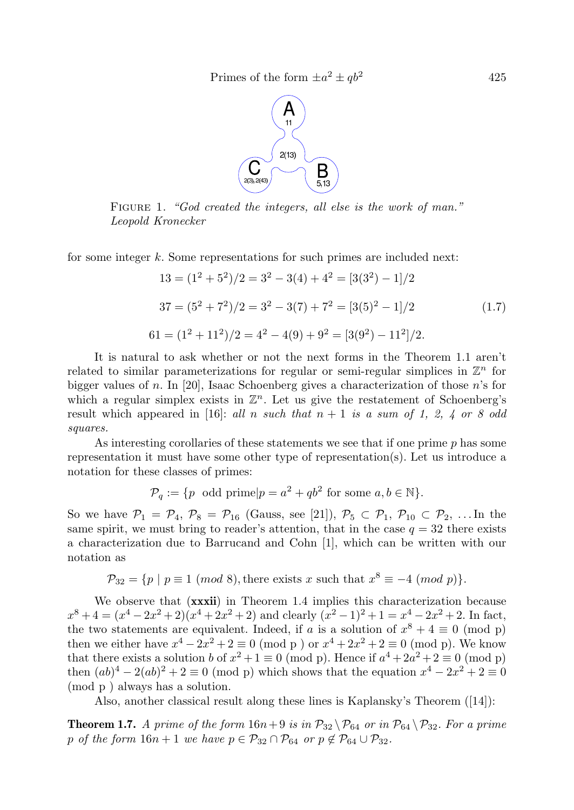

FIGURE 1. "God created the integers, all else is the work of man." Leopold Kronecker

for some integer  $k$ . Some representations for such primes are included next:

$$
13 = (12 + 52)/2 = 32 - 3(4) + 42 = [3(32) - 1]/2
$$
  
\n
$$
37 = (52 + 72)/2 = 32 - 3(7) + 72 = [3(5)2 - 1]/2
$$
  
\n
$$
61 = (12 + 112)/2 = 42 - 4(9) + 92 = [3(92) - 112]/2.
$$
 (1.7)

It is natural to ask whether or not the next forms in the Theorem 1.1 aren't related to similar parameterizations for regular or semi-regular simplices in  $\mathbb{Z}^n$  for bigger values of n. In [20], Isaac Schoenberg gives a characterization of those n's for which a regular simplex exists in  $\mathbb{Z}^n$ . Let us give the restatement of Schoenberg's result which appeared in [16]: all n such that  $n + 1$  is a sum of 1, 2, 4 or 8 odd squares.

As interesting corollaries of these statements we see that if one prime  $p$  has some representation it must have some other type of representation(s). Let us introduce a notation for these classes of primes:

$$
\mathcal{P}_q := \{ p \text{ odd prime} | p = a^2 + qb^2 \text{ for some } a, b \in \mathbb{N} \}.
$$

So we have  $\mathcal{P}_1 = \mathcal{P}_4$ ,  $\mathcal{P}_8 = \mathcal{P}_{16}$  (Gauss, see [21]),  $\mathcal{P}_5 \subset \mathcal{P}_1$ ,  $\mathcal{P}_{10} \subset \mathcal{P}_2$ , ... In the same spirit, we must bring to reader's attention, that in the case  $q = 32$  there exists a characterization due to Barrucand and Cohn [1], which can be written with our notation as

$$
\mathcal{P}_{32} = \{ p \mid p \equiv 1 \pmod{8}, \text{there exists } x \text{ such that } x^8 \equiv -4 \pmod{p} \}.
$$

We observe that  $(xxxii)$  in Theorem 1.4 implies this characterization because  $x^8 + 4 = (x^4 - 2x^2 + 2)(x^4 + 2x^2 + 2)$  and clearly  $(x^2 - 1)^2 + 1 = x^4 - 2x^2 + 2$ . In fact, the two statements are equivalent. Indeed, if a is a solution of  $x^8 + 4 \equiv 0 \pmod{p}$ then we either have  $x^4 - 2x^2 + 2 \equiv 0 \pmod{p}$  or  $x^4 + 2x^2 + 2 \equiv 0 \pmod{p}$ . We know that there exists a solution b of  $x^2 + 1 \equiv 0 \pmod{p}$ . Hence if  $a^4 + 2a^2 + 2 \equiv 0 \pmod{p}$ then  $(ab)^4 - 2(ab)^2 + 2 \equiv 0 \pmod{p}$  which shows that the equation  $x^4 - 2x^2 + 2 \equiv 0$ (mod p ) always has a solution.

Also, another classical result along these lines is Kaplansky's Theorem ([14]):

**Theorem 1.7.** A prime of the form  $16n+9$  is in  $\mathcal{P}_{32} \setminus \mathcal{P}_{64}$  or in  $\mathcal{P}_{64} \setminus \mathcal{P}_{32}$ . For a prime p of the form  $16n + 1$  we have  $p \in \mathcal{P}_{32} \cap \mathcal{P}_{64}$  or  $p \notin \mathcal{P}_{64} \cup \mathcal{P}_{32}$ .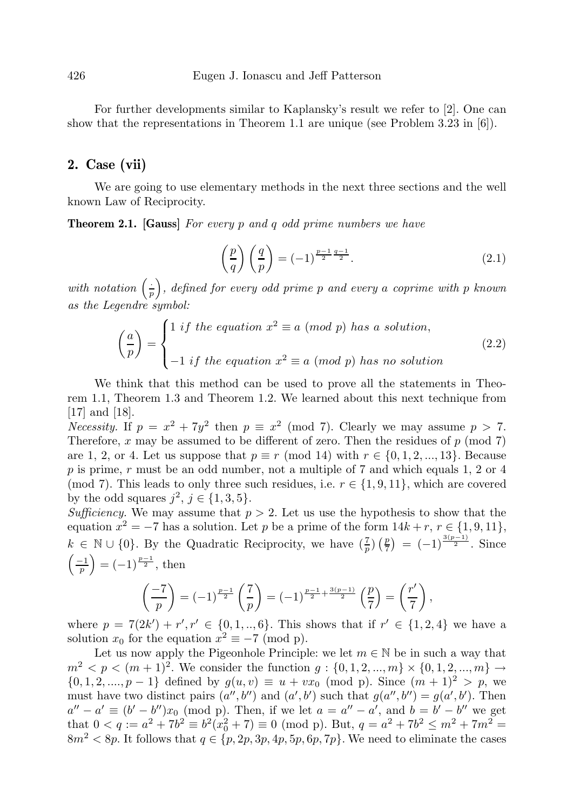For further developments similar to Kaplansky's result we refer to [2]. One can show that the representations in Theorem 1.1 are unique (see Problem 3.23 in [6]).

#### 2. Case (vii)

We are going to use elementary methods in the next three sections and the well known Law of Reciprocity.

**Theorem 2.1.** [Gauss] For every p and q odd prime numbers we have

$$
\left(\frac{p}{q}\right)\left(\frac{q}{p}\right) = (-1)^{\frac{p-1}{2}\frac{q-1}{2}}.\tag{2.1}
$$

with notation  $\left(\frac{1}{r}\right)$  $\frac{1}{p}$ , defined for every odd prime p and every a coprime with p known as the Legendre symbol:

$$
\left(\frac{a}{p}\right) = \begin{cases} 1 \text{ if the equation } x^2 \equiv a \pmod{p} \text{ has a solution,} \\ -1 \text{ if the equation } x^2 \equiv a \pmod{p} \text{ has no solution} \end{cases}
$$
\n(2.2)

We think that this method can be used to prove all the statements in Theorem 1.1, Theorem 1.3 and Theorem 1.2. We learned about this next technique from [17] and [18].

Necessity. If  $p = x^2 + 7y^2$  then  $p \equiv x^2 \pmod{7}$ . Clearly we may assume  $p > 7$ . Therefore, x may be assumed to be different of zero. Then the residues of  $p \pmod{7}$ are 1, 2, or 4. Let us suppose that  $p \equiv r \pmod{14}$  with  $r \in \{0, 1, 2, ..., 13\}$ . Because p is prime, r must be an odd number, not a multiple of 7 and which equals 1, 2 or 4 (mod 7). This leads to only three such residues, i.e.  $r \in \{1, 9, 11\}$ , which are covered by the odd squares  $j^2$ ,  $j \in \{1, 3, 5\}$ .

Sufficiency. We may assume that  $p > 2$ . Let us use the hypothesis to show that the equation  $x^2 = -7$  has a solution. Let p be a prime of the form  $14k + r$ ,  $r \in \{1, 9, 11\}$ ,  $k \in \mathbb{N} \cup \{0\}$ . By the Quadratic Reciprocity, we have  $(\frac{7}{p}) (\frac{p}{7}) = (-1)^{\frac{3(p-1)}{2}}$ . Since  $\left(\frac{-1}{p}\right) = (-1)^{\frac{p-1}{2}}, \text{ then}$ 

$$
\left(\frac{-7}{p}\right) = (-1)^{\frac{p-1}{2}} \left(\frac{7}{p}\right) = (-1)^{\frac{p-1}{2} + \frac{3(p-1)}{2}} \left(\frac{p}{7}\right) = \left(\frac{r'}{7}\right),
$$

where  $p = 7(2k') + r', r' \in \{0, 1, ..., 6\}$ . This shows that if  $r' \in \{1, 2, 4\}$  we have a solution  $x_0$  for the equation  $x^2 \equiv -7 \pmod{p}$ .

Let us now apply the Pigeonhole Principle: we let  $m \in \mathbb{N}$  be in such a way that  $m^2 < p < (m+1)^2$ . We consider the function  $g: \{0, 1, 2, ..., m\} \times \{0, 1, 2, ..., m\} \rightarrow$  $\{0, 1, 2, ..., p-1\}$  defined by  $g(u, v) \equiv u + vx_0 \pmod{p}$ . Since  $(m + 1)^2 > p$ , we must have two distinct pairs  $(a'', b'')$  and  $(a', b')$  such that  $g(a'', b'') = g(a', b')$ . Then  $a'' - a' \equiv (b' - b'')x_0 \pmod{p}$ . Then, if we let  $a = a'' - a'$ , and  $b = b' - b''$  we get that  $0 < q := a^2 + 7b^2 \equiv b^2(x_0^2 + 7) \equiv 0 \pmod{p}$ . But,  $q = a^2 + 7b^2 \le m^2 + 7m^2 =$  $8m^2 < 8p$ . It follows that  $q \in \{p, 2p, 3p, 4p, 5p, 6p, 7p\}$ . We need to eliminate the cases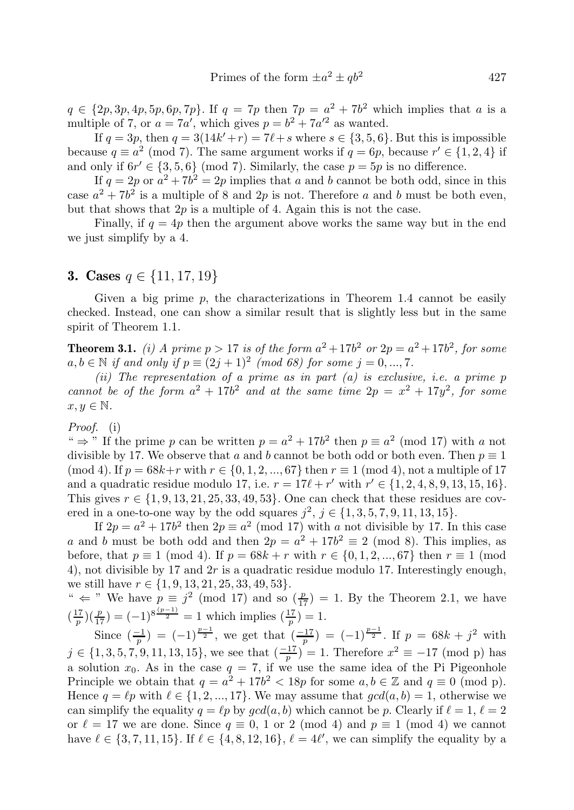$q \in \{2p, 3p, 4p, 5p, 6p, 7p\}$ . If  $q = 7p$  then  $7p = a^2 + 7b^2$  which implies that a is a multiple of 7, or  $a = 7a'$ , which gives  $p = b^2 + 7a'^2$  as wanted.

If  $q = 3p$ , then  $q = 3(14k' + r) = 7l + s$  where  $s \in \{3, 5, 6\}$ . But this is impossible because  $q \equiv a^2 \pmod{7}$ . The same argument works if  $q = 6p$ , because  $r' \in \{1, 2, 4\}$  if and only if  $6r' \in \{3, 5, 6\}$  (mod 7). Similarly, the case  $p = 5p$  is no difference.

If  $q = 2p$  or  $a^2 + 7b^2 = 2p$  implies that a and b cannot be both odd, since in this case  $a^2 + 7b^2$  is a multiple of 8 and 2p is not. Therefore a and b must be both even, but that shows that  $2p$  is a multiple of 4. Again this is not the case.

Finally, if  $q = 4p$  then the argument above works the same way but in the end we just simplify by a 4.

#### **3.** Cases  $q \in \{11, 17, 19\}$

Given a big prime  $p$ , the characterizations in Theorem 1.4 cannot be easily checked. Instead, one can show a similar result that is slightly less but in the same spirit of Theorem 1.1.

**Theorem 3.1.** (i) A prime  $p > 17$  is of the form  $a^2 + 17b^2$  or  $2p = a^2 + 17b^2$ , for some  $a, b \in \mathbb{N}$  if and only if  $p \equiv (2j + 1)^2 \pmod{68}$  for some  $j = 0, ..., 7$ .

(ii) The representation of a prime as in part  $(a)$  is exclusive, i.e. a prime p cannot be of the form  $a^2 + 17b^2$  and at the same time  $2p = x^2 + 17y^2$ , for some  $x, y \in \mathbb{N}$ .

Proof. (i)

"  $\Rightarrow$  " If the prime p can be written  $p = a^2 + 17b^2$  then  $p \equiv a^2 \pmod{17}$  with a not divisible by 17. We observe that a and b cannot be both odd or both even. Then  $p \equiv 1$ (mod 4). If  $p = 68k+r$  with  $r \in \{0, 1, 2, ..., 67\}$  then  $r \equiv 1 \pmod{4}$ , not a multiple of 17 and a quadratic residue modulo 17, i.e.  $r = 17l + r'$  with  $r' \in \{1, 2, 4, 8, 9, 13, 15, 16\}$ . This gives  $r \in \{1, 9, 13, 21, 25, 33, 49, 53\}$ . One can check that these residues are covered in a one-to-one way by the odd squares  $j^2$ ,  $j \in \{1, 3, 5, 7, 9, 11, 13, 15\}.$ 

If  $2p = a^2 + 17b^2$  then  $2p \equiv a^2 \pmod{17}$  with a not divisible by 17. In this case a and b must be both odd and then  $2p = a^2 + 17b^2 \equiv 2 \pmod{8}$ . This implies, as before, that  $p \equiv 1 \pmod{4}$ . If  $p = 68k + r$  with  $r \in \{0, 1, 2, ..., 67\}$  then  $r \equiv 1 \pmod{4}$ . 4), not divisible by 17 and  $2r$  is a quadratic residue modulo 17. Interestingly enough, we still have  $r \in \{1, 9, 13, 21, 25, 33, 49, 53\}.$ 

"  $\Leftarrow$  " We have  $p \equiv j^2 \pmod{17}$  and so  $\left(\frac{p}{17}\right) = 1$ . By the Theorem 2.1, we have  $(\frac{17}{p})(\frac{p}{17}) = (-1)^{8(\frac{p-1}{2})} = 1$  which implies  $(\frac{17}{p}) = 1$ .

Since  $\left(\frac{-1}{p}\right) = (-1)^{\frac{p-1}{2}}$ , we get that  $\left(\frac{-17}{p}\right) = (-1)^{\frac{p-1}{2}}$ . If  $p = 68k + j^2$  with  $j \in \{1, 3, 5, 7, 9, 11, 13, 15\}$ , we see that  $\left(\frac{-17}{p}\right)^{r} = 1$ . Therefore  $x^{2} \equiv -17 \pmod{p}$  has a solution  $x_0$ . As in the case  $q = 7$ , if we use the same idea of the Pi Pigeonhole Principle we obtain that  $q = a^2 + 17b^2 < 18p$  for some  $a, b \in \mathbb{Z}$  and  $q \equiv 0 \pmod{p}$ . Hence  $q = \ell p$  with  $\ell \in \{1, 2, ..., 17\}$ . We may assume that  $gcd(a, b) = 1$ , otherwise we can simplify the equality  $q = \ell p$  by  $gcd(a, b)$  which cannot be p. Clearly if  $\ell = 1, \ell = 2$ or  $\ell = 17$  we are done. Since  $q \equiv 0, 1$  or 2 (mod 4) and  $p \equiv 1 \pmod{4}$  we cannot have  $\ell \in \{3, 7, 11, 15\}$ . If  $\ell \in \{4, 8, 12, 16\}$ ,  $\ell = 4\ell'$ , we can simplify the equality by a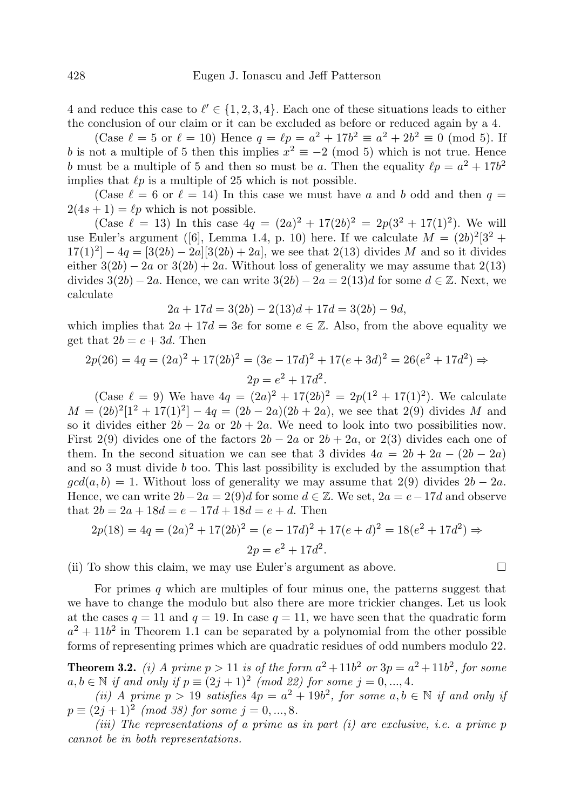4 and reduce this case to  $\ell' \in \{1, 2, 3, 4\}$ . Each one of these situations leads to either the conclusion of our claim or it can be excluded as before or reduced again by a 4.

(Case  $\ell = 5$  or  $\ell = 10$ ) Hence  $q = \ell p = a^2 + 17b^2 \equiv a^2 + 2b^2 \equiv 0 \pmod{5}$ . If b is not a multiple of 5 then this implies  $x^2 \equiv -2 \pmod{5}$  which is not true. Hence b must be a multiple of 5 and then so must be a. Then the equality  $\ell p = a^2 + 17b^2$ implies that  $\ell p$  is a multiple of 25 which is not possible.

(Case  $\ell = 6$  or  $\ell = 14$ ) In this case we must have a and b odd and then  $q =$  $2(4s+1) = \ell p$  which is not possible.

(Case  $\ell = 13$ ) In this case  $4q = (2a)^2 + 17(2b)^2 = 2p(3^2 + 17(1)^2)$ . We will use Euler's argument ([6], Lemma 1.4, p. 10) here. If we calculate  $M = (2b)^2[3^2 +$  $17(1)^2 - 4q = [3(2b) - 2a][3(2b) + 2a]$ , we see that  $2(13)$  divides M and so it divides either  $3(2b) - 2a$  or  $3(2b) + 2a$ . Without loss of generality we may assume that  $2(13)$ divides  $3(2b) - 2a$ . Hence, we can write  $3(2b) - 2a = 2(13)d$  for some  $d \in \mathbb{Z}$ . Next, we calculate

$$
2a + 17d = 3(2b) - 2(13)d + 17d = 3(2b) - 9d,
$$

which implies that  $2a + 17d = 3e$  for some  $e \in \mathbb{Z}$ . Also, from the above equality we get that  $2b = e + 3d$ . Then

$$
2p(26) = 4q = (2a)^2 + 17(2b)^2 = (3e - 17d)^2 + 17(e + 3d)^2 = 26(e^2 + 17d^2) \Rightarrow
$$
  

$$
2p = e^2 + 17d^2.
$$

(Case  $\ell = 9$ ) We have  $4q = (2a)^2 + 17(2b)^2 = 2p(1^2 + 17(1)^2)$ . We calculate  $M = (2b)^2[1^2 + 17(1)^2] - 4q = (2b - 2a)(2b + 2a)$ , we see that 2(9) divides M and so it divides either  $2b - 2a$  or  $2b + 2a$ . We need to look into two possibilities now. First 2(9) divides one of the factors  $2b - 2a$  or  $2b + 2a$ , or 2(3) divides each one of them. In the second situation we can see that 3 divides  $4a = 2b + 2a - (2b - 2a)$ and so 3 must divide b too. This last possibility is excluded by the assumption that  $gcd(a, b) = 1$ . Without loss of generality we may assume that 2(9) divides  $2b - 2a$ . Hence, we can write  $2b-2a = 2(9)d$  for some  $d \in \mathbb{Z}$ . We set,  $2a = e-17d$  and observe that  $2b = 2a + 18d = e - 17d + 18d = e + d$ . Then

$$
2p(18) = 4q = (2a)^2 + 17(2b)^2 = (e - 17d)^2 + 17(e + d)^2 = 18(e^2 + 17d^2) \Rightarrow
$$
  

$$
2p = e^2 + 17d^2.
$$

(ii) To show this claim, we may use Euler's argument as above.  $\Box$ 

For primes q which are multiples of four minus one, the patterns suggest that we have to change the modulo but also there are more trickier changes. Let us look at the cases  $q = 11$  and  $q = 19$ . In case  $q = 11$ , we have seen that the quadratic form  $a^2 + 11b^2$  in Theorem 1.1 can be separated by a polynomial from the other possible forms of representing primes which are quadratic residues of odd numbers modulo 22.

**Theorem 3.2.** (i) A prime  $p > 11$  is of the form  $a^2 + 11b^2$  or  $3p = a^2 + 11b^2$ , for some  $a, b \in \mathbb{N}$  if and only if  $p \equiv (2j + 1)^2 \pmod{22}$  for some  $j = 0, ..., 4$ .

(ii) A prime  $p > 19$  satisfies  $4p = a^2 + 19b^2$ , for some  $a, b \in \mathbb{N}$  if and only if  $p \equiv (2j+1)^2 \pmod{38}$  for some  $j = 0, ..., 8$ .

(iii) The representations of a prime as in part  $(i)$  are exclusive, i.e. a prime p cannot be in both representations.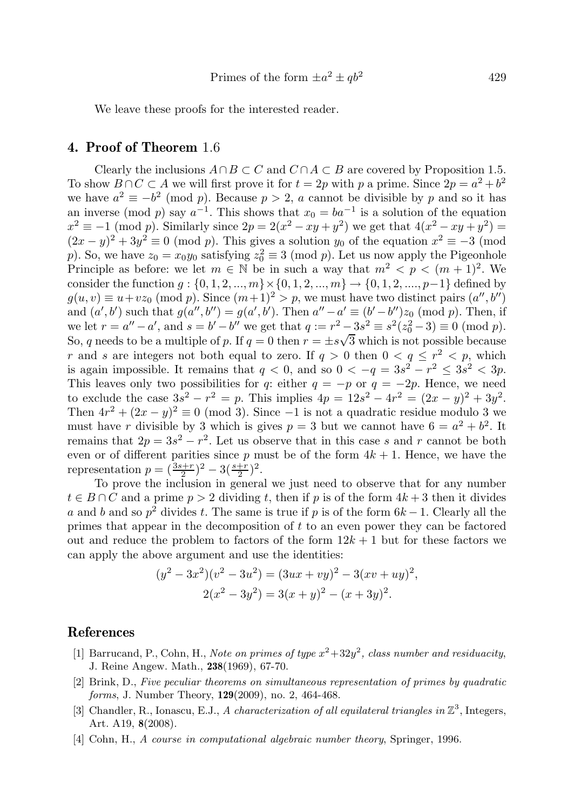We leave these proofs for the interested reader.

## 4. Proof of Theorem 1.6

Clearly the inclusions  $A \cap B \subset C$  and  $C \cap A \subset B$  are covered by Proposition 1.5. To show  $B \cap C \subset A$  we will first prove it for  $t = 2p$  with p a prime. Since  $2p = a^2 + b^2$ we have  $a^2 \equiv -b^2 \pmod{p}$ . Because  $p > 2$ , a cannot be divisible by p and so it has an inverse (mod p) say  $a^{-1}$ . This shows that  $x_0 = ba^{-1}$  is a solution of the equation  $x^2 \equiv -1 \pmod{p}$ . Similarly since  $2p = 2(x^2 - xy + y^2)$  we get that  $4(x^2 - xy + y^2) =$  $(2x - y)^2 + 3y^2 \equiv 0 \pmod{p}$ . This gives a solution  $y_0$  of the equation  $x^2 \equiv -3 \pmod{p}$ . p). So, we have  $z_0 = x_0 y_0$  satisfying  $z_0^2 \equiv 3 \pmod{p}$ . Let us now apply the Pigeonhole Principle as before: we let  $m \in \mathbb{N}$  be in such a way that  $m^2 < p < (m+1)^2$ . We consider the function  $g: \{0, 1, 2, ..., m\} \times \{0, 1, 2, ..., m\} \rightarrow \{0, 1, 2, ..., p-1\}$  defined by  $g(u, v) \equiv u + vz_0 \pmod{p}$ . Since  $(m+1)^2 > p$ , we must have two distinct pairs  $(a'', b'')$ and  $(a', b')$  such that  $g(a'', b'') = g(a', b')$ . Then  $a'' - a' \equiv (b' - b'')z_0 \pmod{p}$ . Then, if we let  $r = a'' - a'$ , and  $s = b' - b''$  we get that  $q := r^2 - 3s^2 \equiv s^2(z_0^2 - 3) \equiv 0 \pmod{p}$ . So, q needs to be a multiple of p. If  $q = 0$  then  $r = \pm s\sqrt{3}$  which is not possible because r and s are integers not both equal to zero. If  $q > 0$  then  $0 < q \leq r^2 < p$ , which is again impossible. It remains that  $q < 0$ , and so  $0 < -q = 3s^2 - r^2 \le 3s^2 < 3p$ . This leaves only two possibilities for q: either  $q = -p$  or  $q = -2p$ . Hence, we need to exclude the case  $3s^2 - r^2 = p$ . This implies  $4p = 12s^2 - 4r^2 = (2x - y)^2 + 3y^2$ . Then  $4r^2 + (2x - y)^2 \equiv 0 \pmod{3}$ . Since -1 is not a quadratic residue modulo 3 we must have r divisible by 3 which is gives  $p = 3$  but we cannot have  $6 = a^2 + b^2$ . It remains that  $2p = 3s^2 - r^2$ . Let us observe that in this case s and r cannot be both even or of different parities since  $p$  must be of the form  $4k + 1$ . Hence, we have the representation  $p = (\frac{3s+r}{2})^2 - 3(\frac{s+r}{2})^2$ .

To prove the inclusion in general we just need to observe that for any number  $t \in B \cap C$  and a prime  $p > 2$  dividing t, then if p is of the form  $4k + 3$  then it divides a and b and so  $p^2$  divides t. The same is true if p is of the form  $6k - 1$ . Clearly all the primes that appear in the decomposition of t to an even power they can be factored out and reduce the problem to factors of the form  $12k + 1$  but for these factors we can apply the above argument and use the identities:

$$
(y2 – 3x2)(v2 – 3u2) = (3ux + vy)2 – 3(xv + uy)2,
$$
  

$$
2(x2 - 3y2) = 3(x + y)2 – (x + 3y)2.
$$

#### References

- [1] Barrucand, P., Cohn, H., Note on primes of type  $x^2+32y^2$ , class number and residuacity, J. Reine Angew. Math., 238(1969), 67-70.
- [2] Brink, D., Five peculiar theorems on simultaneous representation of primes by quadratic forms, J. Number Theory, **129**(2009), no. 2, 464-468.
- [3] Chandler, R., Ionascu, E.J., A characterization of all equilateral triangles in  $\mathbb{Z}^3$ , Integers, Art. A19, 8(2008).
- [4] Cohn, H., A course in computational algebraic number theory, Springer, 1996.